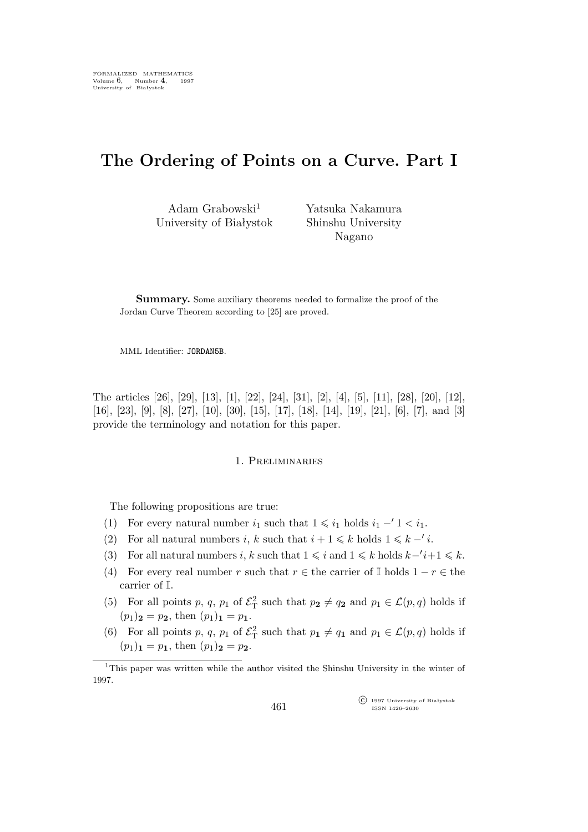# **The Ordering of Points on a Curve. Part I**

Adam Grabowski $^1$ University of Białystok Yatsuka Nakamura Shinshu University Nagano

**Summary.** Some auxiliary theorems needed to formalize the proof of the Jordan Curve Theorem according to [25] are proved.

MML Identifier: JORDAN5B.

The articles [26], [29], [13], [1], [22], [24], [31], [2], [4], [5], [11], [28], [20], [12], [16], [23], [9], [8], [27], [10], [30], [15], [17], [18], [14], [19], [21], [6], [7], and [3] provide the terminology and notation for this paper.

# 1. Preliminaries

The following propositions are true:

- (1) For every natural number  $i_1$  such that  $1 \leq i_1$  holds  $i_1 1 < i_1$ .
- (2) For all natural numbers i, k such that  $i + 1 \le k$  holds  $1 \le k 1$ .
- (3) For all natural numbers *i*, k such that  $1 \leq i$  and  $1 \leq k$  holds  $k 'i + 1 \leq k$ .
- (4) For every real number r such that  $r \in$  the carrier of I holds  $1 r \in$  the carrier of I.
- (5) For all points p, q, p<sub>1</sub> of  $\mathcal{E}_{\rm T}^2$  such that  $p_2 \neq q_2$  and  $p_1 \in \mathcal{L}(p,q)$  holds if  $(p_1)$ **2** = **p2**, then  $(p_1)$ **1** = **p1**.
- (6) For all points p, q, p<sub>1</sub> of  $\mathcal{E}_{\rm T}^2$  such that  $p_1 \neq q_1$  and  $p_1 \in \mathcal{L}(p,q)$  holds if  $(p_1)$ **<sub>1</sub>** =  $p_1$ , then  $(p_1)$ **<sub>2</sub>** =  $p_2$ .

°c 1997 University of Białystok ISSN 1426–2630

<sup>&</sup>lt;sup>1</sup>This paper was written while the author visited the Shinshu University in the winter of 1997.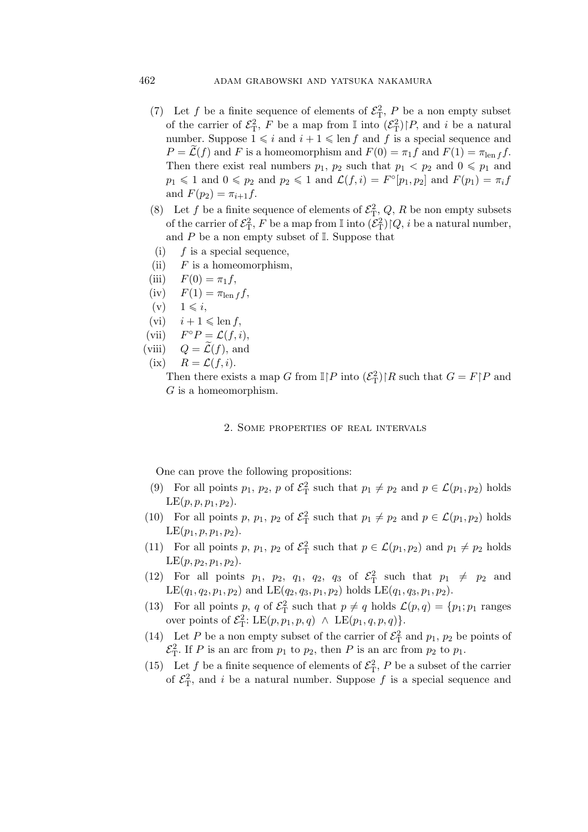# 462 adam grabowski and yatsuka nakamura

- (7) Let f be a finite sequence of elements of  $\mathcal{E}_T^2$ , P be a non empty subset of the carrier of  $\mathcal{E}_{\rm T}^2$ , F be a map from  $\mathbb I$  into  $(\mathcal{E}_{\rm T}^2)|P$ , and i be a natural number. Suppose  $1 \leq i$  and  $i + 1 \leq \text{len } f$  and  $f$  is a special sequence and  $P = \mathcal{L}(f)$  and F is a homeomorphism and  $F(0) = \pi_1 f$  and  $F(1) = \pi_{\text{len }f} f$ . Then there exist real numbers  $p_1$ ,  $p_2$  such that  $p_1 < p_2$  and  $0 \leq p_1$  and  $p_1 \leqslant 1$  and  $0 \leqslant p_2$  and  $p_2 \leqslant 1$  and  $\mathcal{L}(f, i) = F^\circ[p_1, p_2]$  and  $F(p_1) = \pi_i f$ and  $F(p_2) = \pi_{i+1} f$ .
- (8) Let f be a finite sequence of elements of  $\mathcal{E}^2_T$ , Q, R be non empty subsets of the carrier of  $\mathcal{E}^2_\mathrm{T}, F$  be a map from  $\mathbb I$  into  $(\bar{\mathcal{E}}^2_\mathrm{T}){\restriction} Q,$   $i$  be a natural number, and  $P$  be a non empty subset of  $\mathbb{I}$ . Suppose that
- (i)  $f$  is a special sequence,
- (ii)  $F$  is a homeomorphism,
- (iii)  $F(0) = \pi_1 f$ ,
- $(iv)$   $F(1) = \pi_{\text{len }f} f,$
- $(v) \quad 1 \leqslant i,$
- $(vi)$   $i + 1 \leqslant \text{len } f,$
- $(vii)$  $F^{\circ}P = \mathcal{L}(f, i),$
- (viii)  $Q = \widetilde{\mathcal{L}}(f)$ , and
	- (ix)  $R = \mathcal{L}(f, i)$ .

Then there exists a map G from  $\mathbb{I} \upharpoonright P$  into  $(\mathcal{E}_{\mathrm{T}}^2) \upharpoonright R$  such that  $G = F \upharpoonright P$  and G is a homeomorphism.

# 2. Some properties of real intervals

One can prove the following propositions:

- (9) For all points  $p_1$ ,  $p_2$ ,  $p$  of  $\mathcal{E}^2$  such that  $p_1 \neq p_2$  and  $p \in \mathcal{L}(p_1, p_2)$  holds  $LE(p, p, p_1, p_2)$ .
- (10) For all points p,  $p_1$ ,  $p_2$  of  $\mathcal{E}_T^2$  such that  $p_1 \neq p_2$  and  $p \in \mathcal{L}(p_1, p_2)$  holds  $LE(p_1, p, p_1, p_2)$ .
- (11) For all points p,  $p_1$ ,  $p_2$  of  $\mathcal{E}_T^2$  such that  $p \in \mathcal{L}(p_1, p_2)$  and  $p_1 \neq p_2$  holds  $LE(p, p_2, p_1, p_2).$
- (12) For all points  $p_1$ ,  $p_2$ ,  $q_1$ ,  $q_2$ ,  $q_3$  of  $\mathcal{E}^2$  such that  $p_1 \neq p_2$  and  $LE(q_1, q_2, p_1, p_2)$  and  $LE(q_2, q_3, p_1, p_2)$  holds  $LE(q_1, q_3, p_1, p_2)$ .
- (13) For all points p, q of  $\mathcal{E}_{\rm T}^2$  such that  $p \neq q$  holds  $\mathcal{L}(p,q) = \{p_1; p_1 \text{ ranges}$ over points of  $\mathcal{E}_{\mathrm{T}}^2$ : LE $(p, p_1, p, q) \wedge \mathrm{LE}(p_1, q, p, q)$ .
- (14) Let P be a non empty subset of the carrier of  $\mathcal{E}_{\rm T}^2$  and  $p_1$ ,  $p_2$  be points of  $\mathcal{E}_{\rm T}^2$ . If *P* is an arc from  $p_1$  to  $p_2$ , then *P* is an arc from  $p_2$  to  $p_1$ .
- (15) Let f be a finite sequence of elements of  $\mathcal{E}_{\rm T}^2$ , P be a subset of the carrier of  $\mathcal{E}_{\rm T}^2$ , and i be a natural number. Suppose f is a special sequence and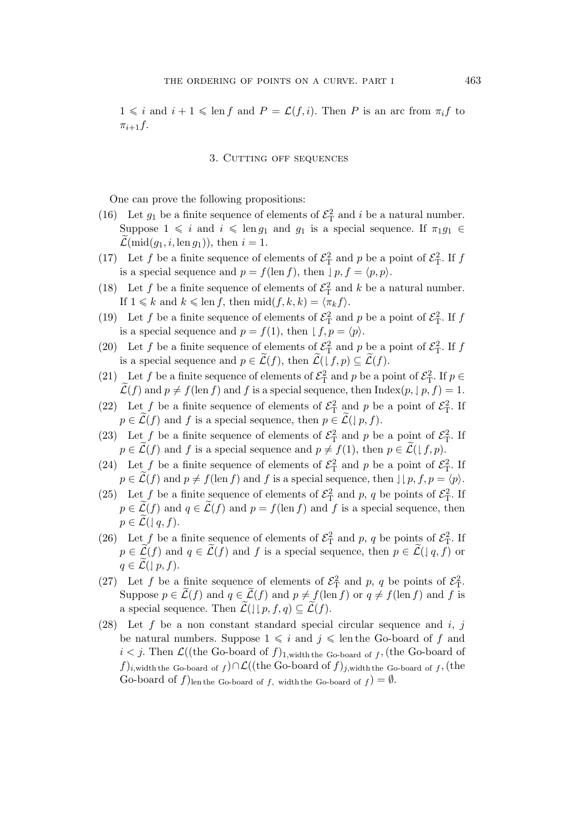$1 \leq i$  and  $i + 1 \leq \text{len } f$  and  $P = \mathcal{L}(f, i)$ . Then P is an arc from  $\pi_i f$  to  $\pi_{i+1}f$ .

### 3. Cutting off sequences

One can prove the following propositions:

- (16) Let  $g_1$  be a finite sequence of elements of  $\mathcal{E}_T^2$  and i be a natural number. Suppose  $1 \leq i$  and  $i \leq \text{len } g_1$  and  $g_1$  is a special sequence. If  $\pi_1 g_1 \in$  $\mathcal{L}(\text{mid}(g_1, i, \text{len } g_1)), \text{ then } i = 1.$
- (17) Let f be a finite sequence of elements of  $\mathcal{E}_{\rm T}^2$  and p be a point of  $\mathcal{E}_{\rm T}^2$ . If f is a special sequence and  $p = f(\text{len } f)$ , then  $| p, f = \langle p, p \rangle$ .
- (18) Let f be a finite sequence of elements of  $\mathcal{E}_{\text{T}}^2$  and k be a natural number. If  $1 \le k$  and  $k \le \text{len } f$ , then  $\text{mid}(f, k, k) = \langle \pi_k f \rangle$ .
- (19) Let f be a finite sequence of elements of  $\mathcal{E}_{\rm T}^2$  and p be a point of  $\mathcal{E}_{\rm T}^2$ . If f is a special sequence and  $p = f(1)$ , then  $| f, p = \langle p \rangle$ .
- (20) Let f be a finite sequence of elements of  $\mathcal{E}_{\rm T}^2$  and p be a point of  $\mathcal{E}_{\rm T}^2$ . If f is a special sequence and  $p \in \mathcal{L}(f)$ , then  $\mathcal{L}(\downarrow f, p) \subseteq \mathcal{L}(f)$ .
- (21) Let f be a finite sequence of elements of  $\mathcal{E}_{\rm T}^2$  and p be a point of  $\mathcal{E}_{\rm T}^2$ . If  $p \in$  $\mathcal{L}(f)$  and  $p \neq f(\text{len } f)$  and f is a special sequence, then Index $(p, \mid p, f) = 1$ .
- (22) Let f be a finite sequence of elements of  $\mathcal{E}_{\rm T}^2$  and p be a point of  $\mathcal{E}_{\rm T}^2$ . If  $p \in \mathcal{L}(f)$  and f is a special sequence, then  $p \in \mathcal{L}(\lbrace p, f \rbrace)$ .
- (23) Let f be a finite sequence of elements of  $\mathcal{E}_{\rm T}^2$  and p be a point of  $\mathcal{E}_{\rm T}^2$ . If  $p \in \mathcal{L}(f)$  and f is a special sequence and  $p \neq f(1)$ , then  $p \in \mathcal{L}(f, p)$ .
- (24) Let f be a finite sequence of elements of  $\mathcal{E}_{\rm T}^2$  and p be a point of  $\mathcal{E}_{\rm T}^2$ . If  $p \in \mathcal{L}(f)$  and  $p \neq f(\text{len } f)$  and f is a special sequence, then  $\lfloor \lfloor p, f, p \rfloor \rfloor$ .
- (25) Let f be a finite sequence of elements of  $\mathcal{E}_{\rm T}^2$  and p, q be points of  $\mathcal{E}_{\rm T}^2$ . If  $p \in \mathcal{L}(f)$  and  $q \in \mathcal{L}(f)$  and  $p = f(\text{len } f)$  and f is a special sequence, then  $p \in \mathcal{L}(\mathcal{A}, f).$
- (26) Let f be a finite sequence of elements of  $\mathcal{E}_{\rm T}^2$  and p, q be points of  $\mathcal{E}_{\rm T}^2$ . If  $p \in \mathcal{L}(f)$  and  $q \in \mathcal{L}(f)$  and f is a special sequence, then  $p \in \mathcal{L}(q, f)$  or  $q \in \mathcal{L}(\mid p, f).$
- (27) Let f be a finite sequence of elements of  $\mathcal{E}_{\rm T}^2$  and p, q be points of  $\mathcal{E}_{\rm T}^2$ . Suppose  $p \in \mathcal{L}(f)$  and  $q \in \mathcal{L}(f)$  and  $p \neq f(\text{len } f)$  or  $q \neq f(\text{len } f)$  and f is a special sequence. Then  $\mathcal{L}(\mathcal{J} | p, f, q) \subseteq \mathcal{L}(f)$ .
- (28) Let f be a non constant standard special circular sequence and i, j be natural numbers. Suppose  $1 \leq i$  and  $j \leq \text{len the Go-board of } f$  and  $i < j$ . Then  $\mathcal{L}((\text{the Go-board of } f)_{1,\text{width the Go-board of } f}, (\text{the Go-board of } f)_{1,\text{width}})$ f)i,width the Go-board of f) $\cap$ L((the Go-board of f)<sub>j</sub>,width the Go-board of f, (the Go-board of  $f$ )<sub>len the Go-board of f, width the Go-board of  $f$ ) =  $\emptyset$ .</sub>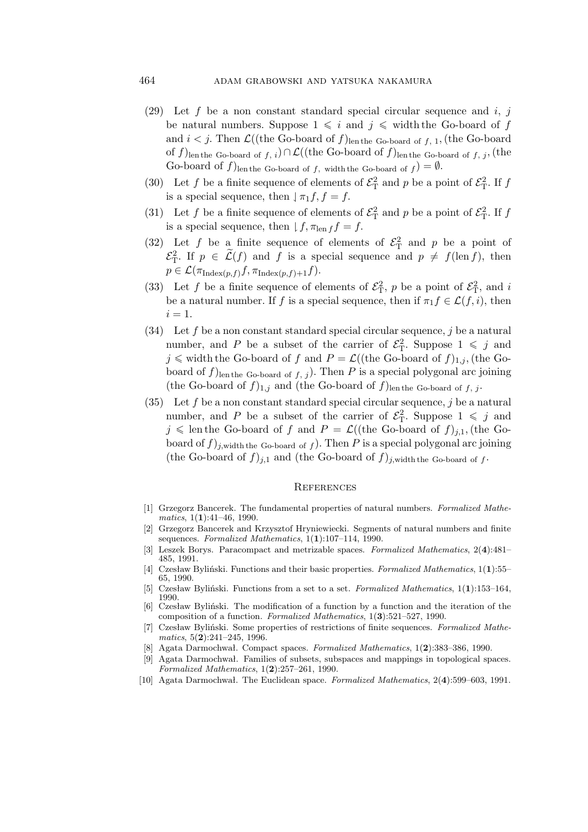# 464 adam grabowski and yatsuka nakamura

- (29) Let f be a non constant standard special circular sequence and  $i, j$ be natural numbers. Suppose  $1 \leq i$  and  $j \leq \text{width the Go-board of } f$ and  $i < j$ . Then  $\mathcal{L}((\text{the Go-board of } f)_{\text{len the Go-board of } f, 1}, (\text{the Go-board of } f)_{\text{len of } f})$ of  $f)$ len the Go-board of  $f, i)$ ∩  $\mathcal{L}((\text{the Go-board of } f)$ len the Go-board of  $f, j,$  (the Go-board of  $f$ )<sub>len the Go-board of  $f$ , width the Go-board of  $f$ ) =  $\emptyset$ .</sub>
- (30) Let f be a finite sequence of elements of  $\mathcal{E}_{\rm T}^2$  and p be a point of  $\mathcal{E}_{\rm T}^2$ . If f is a special sequence, then  $\vert \pi_1 f, f = f$ .
- (31) Let f be a finite sequence of elements of  $\mathcal{E}_{\rm T}^2$  and p be a point of  $\mathcal{E}_{\rm T}^2$ . If f is a special sequence, then  $| f, \pi_{\text{len } f} f = f$ .
- (32) Let f be a finite sequence of elements of  $\mathcal{E}^2$  and p be a point of  $\mathcal{E}_{\rm T}^2$ . If  $p \in \widetilde{\mathcal{L}}(f)$  and f is a special sequence and  $p \neq f(\text{len } f)$ , then  $p \in \mathcal{L}(\pi_{\text{Index}(p,f)}f, \pi_{\text{Index}(p,f)+1}f).$
- (33) Let f be a finite sequence of elements of  $\mathcal{E}_{\rm T}^2$ , p be a point of  $\mathcal{E}_{\rm T}^2$ , and i be a natural number. If f is a special sequence, then if  $\pi_1 f \in \mathcal{L}(f, i)$ , then  $i=1$ .
- (34) Let f be a non constant standard special circular sequence, j be a natural number, and P be a subset of the carrier of  $\mathcal{E}_{\rm T}^2$ . Suppose  $1 \leq j$  and  $j \leq$  width the Go-board of f and  $P = \mathcal{L}((\text{the Go-board of } f)_{1,j}, (\text{the Go$ board of  $f$ )len the Go-board of  $f$ , j). Then P is a special polygonal arc joining (the Go-board of  $f)_{1,j}$  and (the Go-board of  $f$ )len the Go-board of  $f, j$ .
- (35) Let f be a non constant standard special circular sequence, j be a natural number, and P be a subset of the carrier of  $\mathcal{E}_{\rm T}^2$ . Suppose  $1 \leq j$  and  $j \leq \text{len the Go-board of } f \text{ and } P = \mathcal{L}((\text{the Go-board of } f)_{j,1}, (\text{the Go-}$ board of  $f$ )<sub>j,width the Go-board of f</sub>. Then P is a special polygonal arc joining (the Go-board of  $f)_{j,1}$  and (the Go-board of  $f)_{j,\text{width the Go-board of } f}$ .

#### **REFERENCES**

- [1] Grzegorz Bancerek. The fundamental properties of natural numbers. *Formalized Mathematics*, 1(**1**):41–46, 1990.
- [2] Grzegorz Bancerek and Krzysztof Hryniewiecki. Segments of natural numbers and finite sequences. *Formalized Mathematics*, 1(**1**):107–114, 1990.
- [3] Leszek Borys. Paracompact and metrizable spaces. *Formalized Mathematics*, 2(**4**):481– 485, 1991.
- [4] Czesław Byliński. Functions and their basic properties. *Formalized Mathematics*, 1(**1**):55– 65, 1990.
- [5] Czesław Byliński. Functions from a set to a set. *Formalized Mathematics*, 1(**1**):153–164, 1990.
- [6] Czesław Byliński. The modification of a function by a function and the iteration of the composition of a function. *Formalized Mathematics*, 1(**3**):521–527, 1990.
- [7] Czesław Byliński. Some properties of restrictions of finite sequences. *Formalized Mathematics*, 5(**2**):241–245, 1996.
- [8] Agata Darmochwał. Compact spaces. *Formalized Mathematics*, 1(**2**):383–386, 1990.
- [9] Agata Darmochwał. Families of subsets, subspaces and mappings in topological spaces. *Formalized Mathematics*, 1(**2**):257–261, 1990.
- [10] Agata Darmochwał. The Euclidean space. *Formalized Mathematics*, 2(**4**):599–603, 1991.